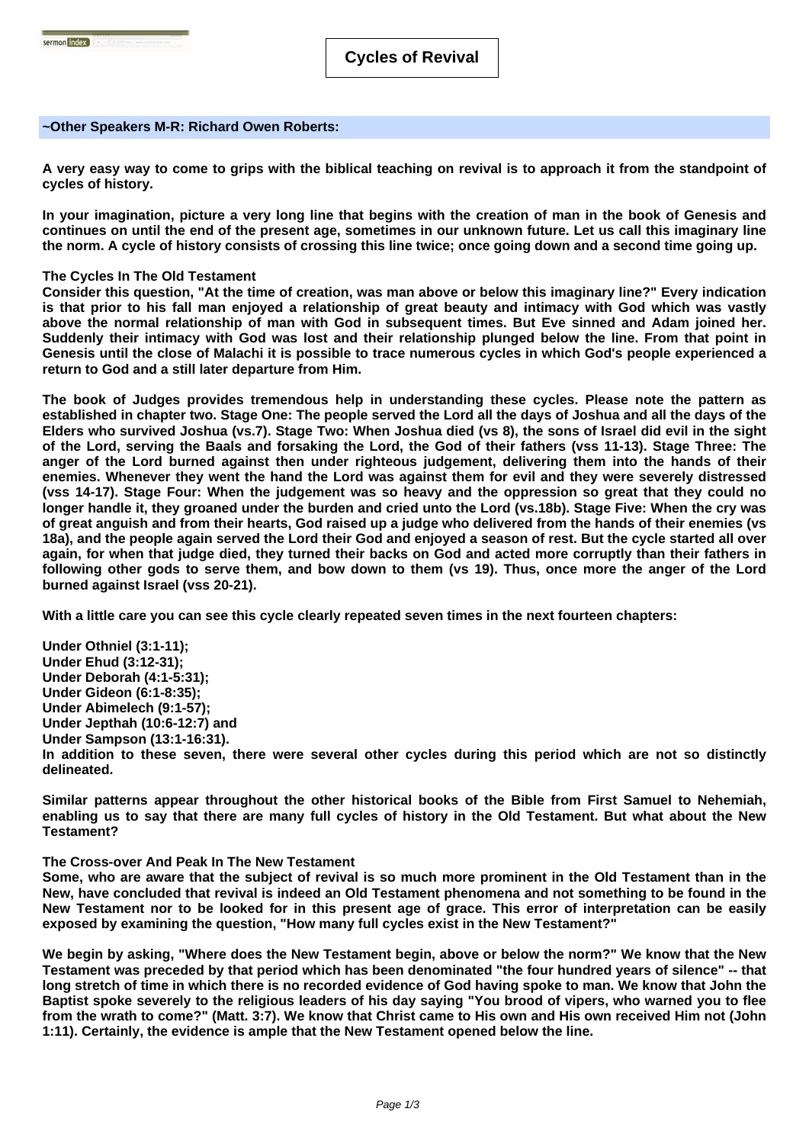### **~Other Speakers M-R: Richard Owen Roberts:**

**A very easy way to come to grips with the biblical teaching on revival is to approach it from the standpoint of cycles of history.** 

**In your imagination, picture a very long line that begins with the creation of man in the book of Genesis and continues on until the end of the present age, sometimes in our unknown future. Let us call this imaginary line the norm. A cycle of history consists of crossing this line twice; once going down and a second time going up.**

### **The Cycles In The Old Testament**

**Consider this question, "At the time of creation, was man above or below this imaginary line?" Every indication is that prior to his fall man enjoyed a relationship of great beauty and intimacy with God which was vastly above the normal relationship of man with God in subsequent times. But Eve sinned and Adam joined her. Suddenly their intimacy with God was lost and their relationship plunged below the line. From that point in Genesis until the close of Malachi it is possible to trace numerous cycles in which God's people experienced a return to God and a still later departure from Him.**

**The book of Judges provides tremendous help in understanding these cycles. Please note the pattern as established in chapter two. Stage One: The people served the Lord all the days of Joshua and all the days of the Elders who survived Joshua (vs.7). Stage Two: When Joshua died (vs 8), the sons of Israel did evil in the sight of the Lord, serving the Baals and forsaking the Lord, the God of their fathers (vss 11-13). Stage Three: The anger of the Lord burned against then under righteous judgement, delivering them into the hands of their enemies. Whenever they went the hand the Lord was against them for evil and they were severely distressed (vss 14-17). Stage Four: When the judgement was so heavy and the oppression so great that they could no longer handle it, they groaned under the burden and cried unto the Lord (vs.18b). Stage Five: When the cry was of great anguish and from their hearts, God raised up a judge who delivered from the hands of their enemies (vs 18a), and the people again served the Lord their God and enjoyed a season of rest. But the cycle started all over again, for when that judge died, they turned their backs on God and acted more corruptly than their fathers in following other gods to serve them, and bow down to them (vs 19). Thus, once more the anger of the Lord burned against Israel (vss 20-21).**

**With a little care you can see this cycle clearly repeated seven times in the next fourteen chapters:**

**Under Othniel (3:1-11); Under Ehud (3:12-31); Under Deborah (4:1-5:31); Under Gideon (6:1-8:35); Under Abimelech (9:1-57); Under Jepthah (10:6-12:7) and Under Sampson (13:1-16:31). In addition to these seven, there were several other cycles during this period which are not so distinctly delineated.**

**Similar patterns appear throughout the other historical books of the Bible from First Samuel to Nehemiah, enabling us to say that there are many full cycles of history in the Old Testament. But what about the New Testament?**

### **The Cross-over And Peak In The New Testament**

**Some, who are aware that the subject of revival is so much more prominent in the Old Testament than in the New, have concluded that revival is indeed an Old Testament phenomena and not something to be found in the New Testament nor to be looked for in this present age of grace. This error of interpretation can be easily exposed by examining the question, "How many full cycles exist in the New Testament?"**

**We begin by asking, "Where does the New Testament begin, above or below the norm?" We know that the New Testament was preceded by that period which has been denominated "the four hundred years of silence" -- that long stretch of time in which there is no recorded evidence of God having spoke to man. We know that John the Baptist spoke severely to the religious leaders of his day saying "You brood of vipers, who warned you to flee from the wrath to come?" (Matt. 3:7). We know that Christ came to His own and His own received Him not (John 1:11). Certainly, the evidence is ample that the New Testament opened below the line.**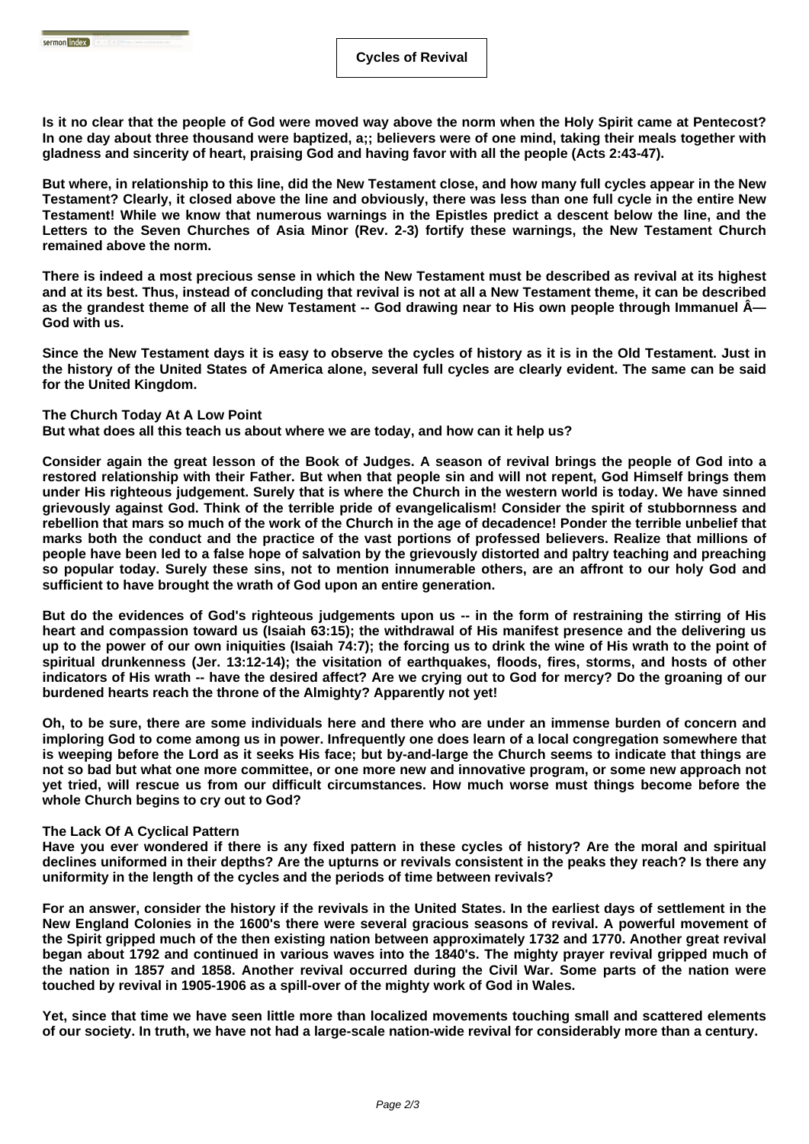**Is it no clear that the people of God were moved way above the norm when the Holy Spirit came at Pentecost? In one day about three thousand were baptized, a;; believers were of one mind, taking their meals together with gladness and sincerity of heart, praising God and having favor with all the people (Acts 2:43-47).**

**But where, in relationship to this line, did the New Testament close, and how many full cycles appear in the New Testament? Clearly, it closed above the line and obviously, there was less than one full cycle in the entire New Testament! While we know that numerous warnings in the Epistles predict a descent below the line, and the Letters to the Seven Churches of Asia Minor (Rev. 2-3) fortify these warnings, the New Testament Church remained above the norm.**

**There is indeed a most precious sense in which the New Testament must be described as revival at its highest and at its best. Thus, instead of concluding that revival is not at all a New Testament theme, it can be described** as the grandest theme of all the New Testament -- God drawing near to His own people through Immanuel  $\hat{A}$ — **God with us.**

**Since the New Testament days it is easy to observe the cycles of history as it is in the Old Testament. Just in the history of the United States of America alone, several full cycles are clearly evident. The same can be said for the United Kingdom.** 

# **The Church Today At A Low Point**

Sermon index **Company** 

**But what does all this teach us about where we are today, and how can it help us?**

**Consider again the great lesson of the Book of Judges. A season of revival brings the people of God into a restored relationship with their Father. But when that people sin and will not repent, God Himself brings them under His righteous judgement. Surely that is where the Church in the western world is today. We have sinned grievously against God. Think of the terrible pride of evangelicalism! Consider the spirit of stubbornness and rebellion that mars so much of the work of the Church in the age of decadence! Ponder the terrible unbelief that marks both the conduct and the practice of the vast portions of professed believers. Realize that millions of people have been led to a false hope of salvation by the grievously distorted and paltry teaching and preaching so popular today. Surely these sins, not to mention innumerable others, are an affront to our holy God and sufficient to have brought the wrath of God upon an entire generation.**

**But do the evidences of God's righteous judgements upon us -- in the form of restraining the stirring of His heart and compassion toward us (Isaiah 63:15); the withdrawal of His manifest presence and the delivering us up to the power of our own iniquities (Isaiah 74:7); the forcing us to drink the wine of His wrath to the point of spiritual drunkenness (Jer. 13:12-14); the visitation of earthquakes, floods, fires, storms, and hosts of other indicators of His wrath -- have the desired affect? Are we crying out to God for mercy? Do the groaning of our burdened hearts reach the throne of the Almighty? Apparently not yet!**

**Oh, to be sure, there are some individuals here and there who are under an immense burden of concern and imploring God to come among us in power. Infrequently one does learn of a local congregation somewhere that is weeping before the Lord as it seeks His face; but by-and-large the Church seems to indicate that things are not so bad but what one more committee, or one more new and innovative program, or some new approach not yet tried, will rescue us from our difficult circumstances. How much worse must things become before the whole Church begins to cry out to God?**

# **The Lack Of A Cyclical Pattern**

**Have you ever wondered if there is any fixed pattern in these cycles of history? Are the moral and spiritual declines uniformed in their depths? Are the upturns or revivals consistent in the peaks they reach? Is there any uniformity in the length of the cycles and the periods of time between revivals?**

**For an answer, consider the history if the revivals in the United States. In the earliest days of settlement in the New England Colonies in the 1600's there were several gracious seasons of revival. A powerful movement of the Spirit gripped much of the then existing nation between approximately 1732 and 1770. Another great revival began about 1792 and continued in various waves into the 1840's. The mighty prayer revival gripped much of the nation in 1857 and 1858. Another revival occurred during the Civil War. Some parts of the nation were touched by revival in 1905-1906 as a spill-over of the mighty work of God in Wales.**

**Yet, since that time we have seen little more than localized movements touching small and scattered elements of our society. In truth, we have not had a large-scale nation-wide revival for considerably more than a century.**